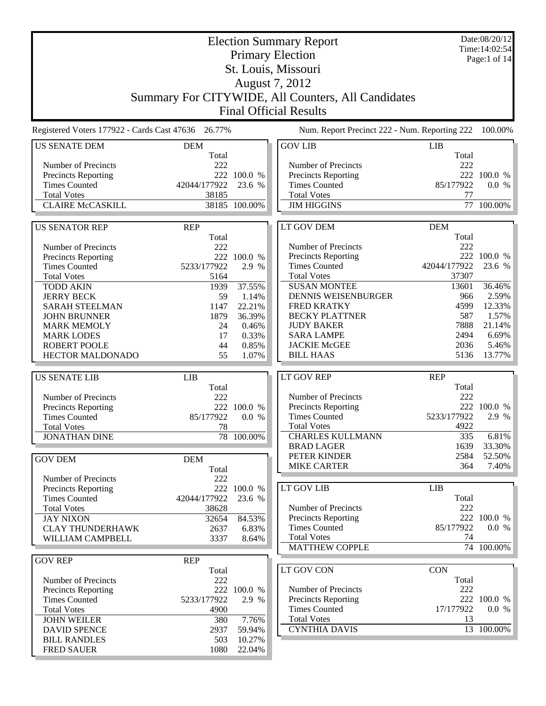| <b>Election Summary Report</b><br><b>Primary Election</b> |                     |                 |  |                                                    |            |                | Date:08/20/12<br>Time: 14:02:54 |
|-----------------------------------------------------------|---------------------|-----------------|--|----------------------------------------------------|------------|----------------|---------------------------------|
|                                                           |                     |                 |  | St. Louis, Missouri                                |            |                | Page:1 of $14$                  |
|                                                           |                     |                 |  | August 7, 2012                                     |            |                |                                 |
|                                                           |                     |                 |  |                                                    |            |                |                                 |
|                                                           |                     |                 |  | Summary For CITYWIDE, All Counters, All Candidates |            |                |                                 |
|                                                           |                     |                 |  | <b>Final Official Results</b>                      |            |                |                                 |
| Registered Voters 177922 - Cards Cast 47636 26.77%        |                     |                 |  | Num. Report Precinct 222 - Num. Reporting 222      |            |                | 100.00%                         |
| <b>US SENATE DEM</b>                                      | <b>DEM</b><br>Total |                 |  | <b>GOV LIB</b>                                     | <b>LIB</b> | Total          |                                 |
| Number of Precincts                                       | 222                 |                 |  | Number of Precincts                                |            | 222            |                                 |
| <b>Precincts Reporting</b>                                |                     | 222 100.0 %     |  | Precincts Reporting                                |            |                | 222 100.0 %                     |
| <b>Times Counted</b>                                      | 42044/177922        | 23.6 %          |  | <b>Times Counted</b>                               |            | 85/177922      | 0.0 %                           |
| <b>Total Votes</b>                                        | 38185               |                 |  | <b>Total Votes</b>                                 |            | 77             |                                 |
| <b>CLAIRE McCASKILL</b>                                   |                     | 38185 100.00%   |  | <b>JIM HIGGINS</b>                                 |            | 77             | 100.00%                         |
| <b>US SENATOR REP</b>                                     | <b>REP</b>          |                 |  | LT GOV DEM                                         | <b>DEM</b> |                |                                 |
|                                                           | Total               |                 |  |                                                    |            | Total          |                                 |
| Number of Precincts                                       | 222                 |                 |  | Number of Precincts                                |            | 222            |                                 |
| <b>Precincts Reporting</b>                                | 222                 | 100.0 %         |  | Precincts Reporting                                |            | 222            | 100.0 %                         |
| <b>Times Counted</b>                                      | 5233/177922         | 2.9 %           |  | <b>Times Counted</b>                               |            | 42044/177922   | 23.6 %                          |
| <b>Total Votes</b>                                        | 5164                |                 |  | <b>Total Votes</b><br><b>SUSAN MONTEE</b>          |            | 37307<br>13601 |                                 |
| <b>TODD AKIN</b><br><b>JERRY BECK</b>                     | 1939<br>59          | 37.55%<br>1.14% |  | DENNIS WEISENBURGER                                |            | 966            | 36.46%<br>2.59%                 |
| <b>SARAH STEELMAN</b>                                     | 1147                | 22.21%          |  | <b>FRED KRATKY</b>                                 |            | 4599           | 12.33%                          |
| <b>JOHN BRUNNER</b>                                       | 1879                | 36.39%          |  | <b>BECKY PLATTNER</b>                              |            | 587            | 1.57%                           |
| <b>MARK MEMOLY</b>                                        | 24                  | 0.46%           |  | <b>JUDY BAKER</b>                                  |            | 7888           | 21.14%                          |
| <b>MARK LODES</b>                                         | 17                  | 0.33%           |  | <b>SARA LAMPE</b>                                  |            | 2494           | 6.69%                           |
| <b>ROBERT POOLE</b>                                       | 44                  | 0.85%           |  | <b>JACKIE McGEE</b>                                |            | 2036           | 5.46%                           |
| <b>HECTOR MALDONADO</b>                                   | 55                  | 1.07%           |  | <b>BILL HAAS</b>                                   |            | 5136           | 13.77%                          |
|                                                           |                     |                 |  | <b>LT GOV REP</b>                                  | <b>REP</b> |                |                                 |
| <b>US SENATE LIB</b>                                      | <b>LIB</b><br>Total |                 |  |                                                    |            | Total          |                                 |
| Number of Precincts                                       | 222                 |                 |  | Number of Precincts                                |            | 222            |                                 |
| <b>Precincts Reporting</b>                                |                     | 222 100.0 %     |  | Precincts Reporting                                |            |                | 222 100.0 %                     |
| <b>Times Counted</b>                                      | 85/177922           | 0.0 %           |  | <b>Times Counted</b>                               |            | 5233/177922    | 2.9 %                           |
| <b>Total Votes</b>                                        | 78                  |                 |  | <b>Total Votes</b>                                 |            | 4922           |                                 |
| <b>JONATHAN DINE</b>                                      |                     | 78 100.00%      |  | <b>CHARLES KULLMANN</b>                            |            | 335            | 6.81%                           |
|                                                           |                     |                 |  | <b>BRAD LAGER</b>                                  |            | 1639           | 33.30%                          |
| <b>GOV DEM</b>                                            | <b>DEM</b>          |                 |  | PETER KINDER<br><b>MIKE CARTER</b>                 |            | 2584<br>364    | 52.50%<br>7.40%                 |
|                                                           | Total               |                 |  |                                                    |            |                |                                 |
| Number of Precincts<br><b>Precincts Reporting</b>         | 222                 | 222 100.0 %     |  | LT GOV LIB                                         | LIB        |                |                                 |
| <b>Times Counted</b>                                      | 42044/177922        | 23.6 %          |  |                                                    |            | Total          |                                 |
| <b>Total Votes</b>                                        | 38628               |                 |  | Number of Precincts                                |            | 222            |                                 |
| <b>JAY NIXON</b>                                          | 32654               | 84.53%          |  | Precincts Reporting                                |            |                | 222 100.0 %                     |
| <b>CLAY THUNDERHAWK</b>                                   | 2637                | 6.83%           |  | <b>Times Counted</b>                               |            | 85/177922      | 0.0 %                           |
| WILLIAM CAMPBELL                                          | 3337                | 8.64%           |  | <b>Total Votes</b>                                 |            | 74             |                                 |
|                                                           |                     |                 |  | <b>MATTHEW COPPLE</b>                              |            |                | 74 100.00%                      |
| <b>GOV REP</b>                                            | <b>REP</b>          |                 |  | LT GOV CON                                         | <b>CON</b> |                |                                 |
| Number of Precincts                                       | Total<br>222        |                 |  |                                                    |            | Total          |                                 |
| <b>Precincts Reporting</b>                                |                     | 222 100.0 %     |  | Number of Precincts                                |            | 222            |                                 |
| <b>Times Counted</b>                                      | 5233/177922         | 2.9 %           |  | <b>Precincts Reporting</b>                         |            |                | 222 100.0 %                     |
| <b>Total Votes</b>                                        | 4900                |                 |  | <b>Times Counted</b>                               |            | 17/177922      | 0.0 %                           |
| <b>JOHN WEILER</b>                                        | 380                 | 7.76%           |  | <b>Total Votes</b>                                 |            | 13             |                                 |
| <b>DAVID SPENCE</b>                                       | 2937                | 59.94%          |  | <b>CYNTHIA DAVIS</b>                               |            |                | 13 100.00%                      |
| <b>BILL RANDLES</b>                                       | 503                 | 10.27%          |  |                                                    |            |                |                                 |
| <b>FRED SAUER</b>                                         | 1080                | 22.04%          |  |                                                    |            |                |                                 |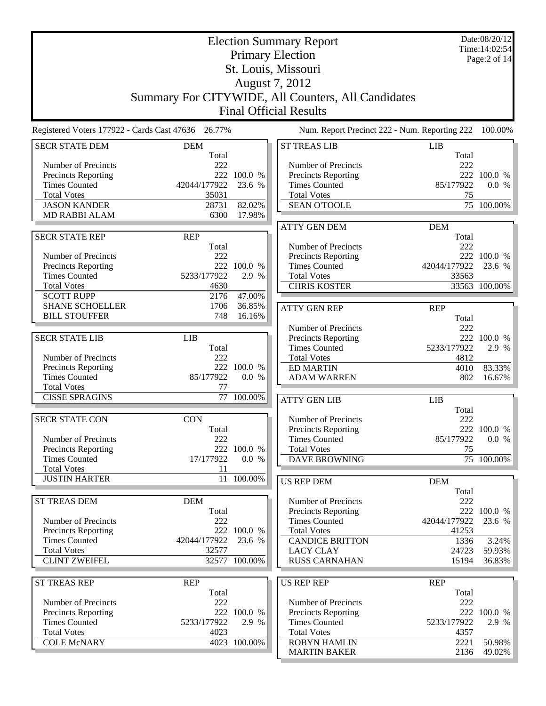|                                             |                                                    |                      | <b>Election Summary Report</b>                     |               | Date:08/20/12<br>Time: 14:02:54 |
|---------------------------------------------|----------------------------------------------------|----------------------|----------------------------------------------------|---------------|---------------------------------|
|                                             |                                                    |                      | <b>Primary Election</b>                            |               | Page:2 of 14                    |
|                                             |                                                    |                      | St. Louis, Missouri                                |               |                                 |
|                                             |                                                    |                      | August 7, 2012                                     |               |                                 |
|                                             |                                                    |                      | Summary For CITYWIDE, All Counters, All Candidates |               |                                 |
|                                             |                                                    |                      | <b>Final Official Results</b>                      |               |                                 |
|                                             | Registered Voters 177922 - Cards Cast 47636 26.77% |                      | Num. Report Precinct 222 - Num. Reporting 222      |               | 100.00%                         |
| <b>SECR STATE DEM</b>                       | <b>DEM</b>                                         |                      | <b>ST TREAS LIB</b>                                | <b>LIB</b>    |                                 |
| Number of Precincts                         | Total<br>222                                       |                      | Number of Precincts                                | Total<br>222  |                                 |
| Precincts Reporting                         |                                                    | 222 100.0 %          | Precincts Reporting                                |               | 222 100.0 %                     |
| <b>Times Counted</b>                        | 42044/177922                                       | 23.6 %               | <b>Times Counted</b>                               | 85/177922     | 0.0 %                           |
| <b>Total Votes</b>                          | 35031                                              |                      | <b>Total Votes</b>                                 | 75            |                                 |
| <b>JASON KANDER</b>                         | 28731                                              | 82.02%               | <b>SEAN O'TOOLE</b>                                |               | 75 100.00%                      |
| <b>MD RABBI ALAM</b>                        | 6300                                               | 17.98%               |                                                    |               |                                 |
|                                             |                                                    |                      | <b>ATTY GEN DEM</b>                                | <b>DEM</b>    |                                 |
| <b>SECR STATE REP</b>                       | <b>REP</b>                                         |                      |                                                    | Total         |                                 |
| Number of Precincts                         | Total<br>222                                       |                      | Number of Precincts<br>Precincts Reporting         | 222           | 222 100.0 %                     |
| Precincts Reporting                         |                                                    | 222 100.0 %          | <b>Times Counted</b>                               | 42044/177922  | 23.6 %                          |
| <b>Times Counted</b>                        | 5233/177922                                        | 2.9 %                | <b>Total Votes</b>                                 | 33563         |                                 |
| <b>Total Votes</b>                          | 4630                                               |                      | <b>CHRIS KOSTER</b>                                |               | 33563 100.00%                   |
| <b>SCOTT RUPP</b>                           | 2176                                               | 47.00%               |                                                    |               |                                 |
| <b>SHANE SCHOELLER</b>                      | 1706                                               | 36.85%               | <b>ATTY GEN REP</b>                                | <b>REP</b>    |                                 |
| <b>BILL STOUFFER</b>                        | 748                                                | 16.16%               |                                                    | Total         |                                 |
|                                             |                                                    |                      | Number of Precincts                                | 222           |                                 |
| <b>SECR STATE LIB</b>                       | <b>LIB</b>                                         |                      | Precincts Reporting                                |               | 222 100.0 %                     |
|                                             | Total                                              |                      | <b>Times Counted</b>                               | 5233/177922   | 2.9 %                           |
| Number of Precincts<br>Precincts Reporting  | 222                                                | 222 100.0 %          | <b>Total Votes</b><br><b>ED MARTIN</b>             | 4812<br>4010  | 83.33%                          |
| <b>Times Counted</b>                        | 85/177922                                          | 0.0 %                | <b>ADAM WARREN</b>                                 | 802           | 16.67%                          |
| <b>Total Votes</b>                          | 77                                                 |                      |                                                    |               |                                 |
| <b>CISSE SPRAGINS</b>                       | 77                                                 | 100.00%              | <b>ATTY GEN LIB</b>                                | <b>LIB</b>    |                                 |
|                                             |                                                    |                      |                                                    | Total         |                                 |
| <b>SECR STATE CON</b>                       | <b>CON</b>                                         |                      | Number of Precincts                                | 222           |                                 |
|                                             | Total                                              |                      | Precincts Reporting                                |               | 222 100.0 %                     |
| Number of Precincts                         | 222                                                |                      | <b>Times Counted</b><br><b>Total Votes</b>         | 85/177922     | 0.0 %                           |
| Precincts Reporting<br><b>Times Counted</b> | 17/177922                                          | 222 100.0 %<br>0.0 % | <b>DAVE BROWNING</b>                               | 75            | 75 100.00%                      |
| <b>Total Votes</b>                          | 11                                                 |                      |                                                    |               |                                 |
| <b>JUSTIN HARTER</b>                        |                                                    | 11 100.00%           | <b>US REP DEM</b>                                  | <b>DEM</b>    |                                 |
|                                             |                                                    |                      |                                                    | Total         |                                 |
| <b>ST TREAS DEM</b>                         | <b>DEM</b>                                         |                      | Number of Precincts                                | 222           |                                 |
|                                             | Total                                              |                      | <b>Precincts Reporting</b>                         |               | 222 100.0 %                     |
| Number of Precincts                         | 222                                                |                      | <b>Times Counted</b>                               | 42044/177922  | 23.6 %                          |
| Precincts Reporting                         |                                                    | 222 100.0 %          | <b>Total Votes</b>                                 | 41253         |                                 |
| <b>Times Counted</b><br><b>Total Votes</b>  | 42044/177922<br>32577                              | 23.6 %               | <b>CANDICE BRITTON</b><br><b>LACY CLAY</b>         | 1336<br>24723 | 3.24%<br>59.93%                 |
| <b>CLINT ZWEIFEL</b>                        |                                                    | 32577 100.00%        | <b>RUSS CARNAHAN</b>                               | 15194         | 36.83%                          |
|                                             |                                                    |                      |                                                    |               |                                 |
| <b>ST TREAS REP</b>                         | <b>REP</b>                                         |                      | <b>US REP REP</b>                                  | <b>REP</b>    |                                 |
|                                             | Total                                              |                      |                                                    | Total         |                                 |
| Number of Precincts<br>Precincts Reporting  | 222                                                | 222 100.0 %          | Number of Precincts<br>Precincts Reporting         | 222           | 222 100.0 %                     |
| <b>Times Counted</b>                        | 5233/177922                                        | 2.9 %                | <b>Times Counted</b>                               | 5233/177922   | 2.9 %                           |
| <b>Total Votes</b>                          | 4023                                               |                      | <b>Total Votes</b>                                 | 4357          |                                 |
| <b>COLE McNARY</b>                          |                                                    | 4023 100.00%         | <b>ROBYN HAMLIN</b>                                | 2221          | 50.98%                          |
|                                             |                                                    |                      | <b>MARTIN BAKER</b>                                | 2136          | 49.02%                          |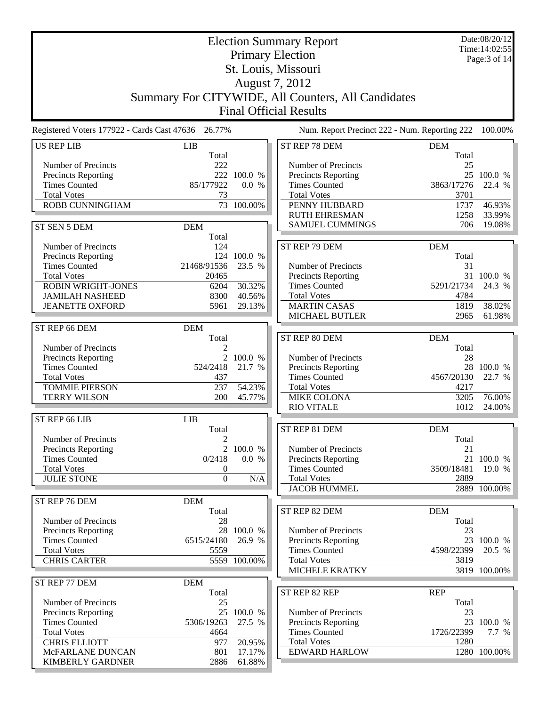|                                             |                                                    |                  | <b>Election Summary Report</b>                     |                     | Date:08/20/12<br>Time: 14:02:55 |
|---------------------------------------------|----------------------------------------------------|------------------|----------------------------------------------------|---------------------|---------------------------------|
|                                             |                                                    |                  | <b>Primary Election</b>                            |                     | Page: $3$ of $14$               |
|                                             |                                                    |                  | St. Louis, Missouri                                |                     |                                 |
|                                             |                                                    |                  | August 7, 2012                                     |                     |                                 |
|                                             |                                                    |                  | Summary For CITYWIDE, All Counters, All Candidates |                     |                                 |
|                                             |                                                    |                  | <b>Final Official Results</b>                      |                     |                                 |
|                                             |                                                    |                  |                                                    |                     |                                 |
|                                             | Registered Voters 177922 - Cards Cast 47636 26.77% |                  | Num. Report Precinct 222 - Num. Reporting 222      |                     | 100.00%                         |
| <b>US REP LIB</b>                           | LIB                                                |                  | ST REP 78 DEM                                      | <b>DEM</b><br>Total |                                 |
| Number of Precincts                         | Total<br>222                                       |                  | Number of Precincts                                | 25                  |                                 |
| <b>Precincts Reporting</b>                  |                                                    | 222 100.0 %      | Precincts Reporting                                |                     | 25 100.0 %                      |
| <b>Times Counted</b>                        | 85/177922                                          | 0.0 %            | <b>Times Counted</b>                               | 3863/17276          | 22.4 %                          |
| <b>Total Votes</b>                          | 73                                                 |                  | <b>Total Votes</b>                                 | 3701                |                                 |
| ROBB CUNNINGHAM                             |                                                    | 73 100.00%       | PENNY HUBBARD                                      | 1737                | 46.93%                          |
|                                             |                                                    |                  | <b>RUTH EHRESMAN</b><br><b>SAMUEL CUMMINGS</b>     | 1258<br>706         | 33.99%<br>19.08%                |
| ST SEN 5 DEM                                | <b>DEM</b><br>Total                                |                  |                                                    |                     |                                 |
| Number of Precincts                         | 124                                                |                  | ST REP 79 DEM                                      | <b>DEM</b>          |                                 |
| Precincts Reporting                         |                                                    | 124 100.0 %      |                                                    | Total               |                                 |
| <b>Times Counted</b>                        | 21468/91536                                        | 23.5 %           | Number of Precincts                                | 31                  |                                 |
| <b>Total Votes</b>                          | 20465                                              |                  | Precincts Reporting                                |                     | 31 100.0 %                      |
| <b>ROBIN WRIGHT-JONES</b>                   | 6204                                               | 30.32%           | <b>Times Counted</b>                               | 5291/21734          | 24.3 %                          |
| <b>JAMILAH NASHEED</b>                      | 8300                                               | 40.56%           | <b>Total Votes</b>                                 | 4784                |                                 |
| <b>JEANETTE OXFORD</b>                      | 5961                                               | 29.13%           | <b>MARTIN CASAS</b><br>MICHAEL BUTLER              | 1819<br>2965        | 38.02%<br>61.98%                |
|                                             |                                                    |                  |                                                    |                     |                                 |
| ST REP 66 DEM                               | <b>DEM</b><br>Total                                |                  | ST REP 80 DEM                                      | <b>DEM</b>          |                                 |
| Number of Precincts                         | $\overline{2}$                                     |                  |                                                    | Total               |                                 |
| <b>Precincts Reporting</b>                  |                                                    | 2 100.0 %        | Number of Precincts                                | 28                  |                                 |
| <b>Times Counted</b>                        | 524/2418                                           | 21.7 %           | Precincts Reporting                                | 28                  | 100.0 %                         |
| <b>Total Votes</b>                          | 437                                                |                  | <b>Times Counted</b>                               | 4567/20130          | 22.7 %                          |
| <b>TOMMIE PIERSON</b>                       | 237                                                | 54.23%           | <b>Total Votes</b>                                 | 4217                |                                 |
| <b>TERRY WILSON</b>                         | 200                                                | 45.77%           | <b>MIKE COLONA</b><br><b>RIO VITALE</b>            | 3205<br>1012        | 76.00%<br>24.00%                |
| ST REP 66 LIB                               | LIB                                                |                  |                                                    |                     |                                 |
|                                             | Total                                              |                  | ST REP 81 DEM                                      | <b>DEM</b>          |                                 |
| Number of Precincts                         | $\overline{2}$                                     |                  |                                                    | Total               |                                 |
| <b>Precincts Reporting</b>                  |                                                    | 2 100.0 %        | Number of Precincts                                | 21                  |                                 |
| <b>Times Counted</b>                        | 0/2418                                             | 0.0 %            | <b>Precincts Reporting</b>                         | 21                  | 100.0 %                         |
| <b>Total Votes</b>                          | 0                                                  |                  | <b>Times Counted</b>                               | 3509/18481          | 19.0 %                          |
| <b>JULIE STONE</b>                          | $\mathbf{0}$                                       | N/A              | <b>Total Votes</b><br><b>JACOB HUMMEL</b>          | 2889                | $2889 - 100.00\%$               |
| ST REP 76 DEM                               | <b>DEM</b>                                         |                  |                                                    |                     |                                 |
|                                             | Total                                              |                  | ST REP 82 DEM                                      | <b>DEM</b>          |                                 |
| Number of Precincts                         | 28                                                 |                  |                                                    | Total               |                                 |
| <b>Precincts Reporting</b>                  | 28                                                 | 100.0 %          | Number of Precincts                                | 23                  |                                 |
| <b>Times Counted</b>                        | 6515/24180                                         | 26.9 %           | <b>Precincts Reporting</b>                         |                     | 23 100.0 %                      |
| <b>Total Votes</b>                          | 5559                                               |                  | <b>Times Counted</b>                               | 4598/22399          | 20.5 %                          |
| <b>CHRIS CARTER</b>                         |                                                    | 5559 100.00%     | <b>Total Votes</b><br><b>MICHELE KRATKY</b>        | 3819                | 3819 100.00%                    |
|                                             |                                                    |                  |                                                    |                     |                                 |
| ST REP 77 DEM                               | <b>DEM</b><br>Total                                |                  | ST REP 82 REP                                      | <b>REP</b>          |                                 |
| Number of Precincts                         | 25                                                 |                  |                                                    | Total               |                                 |
| <b>Precincts Reporting</b>                  | 25                                                 | 100.0 %          | Number of Precincts                                | 23                  |                                 |
| <b>Times Counted</b>                        | 5306/19263                                         | 27.5 %           | <b>Precincts Reporting</b>                         |                     | 23 100.0 %                      |
| <b>Total Votes</b>                          | 4664                                               |                  | <b>Times Counted</b>                               | 1726/22399          | 7.7 %                           |
| <b>CHRIS ELLIOTT</b>                        | 977                                                | 20.95%           | <b>Total Votes</b>                                 | 1280                |                                 |
| McFARLANE DUNCAN<br><b>KIMBERLY GARDNER</b> | 801<br>2886                                        | 17.17%<br>61.88% | <b>EDWARD HARLOW</b>                               |                     | 1280 100.00%                    |
|                                             |                                                    |                  |                                                    |                     |                                 |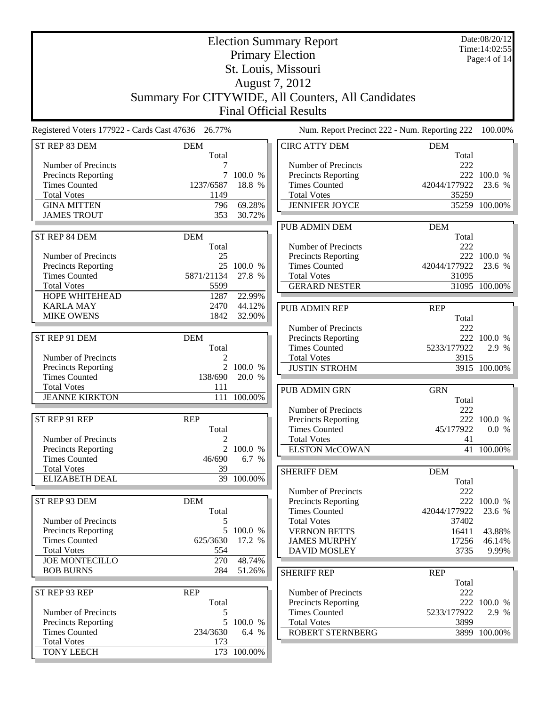|                                             |                                                    |                     | <b>Election Summary Report</b>                     |                     | Date:08/20/12<br>Time: 14:02:55 |
|---------------------------------------------|----------------------------------------------------|---------------------|----------------------------------------------------|---------------------|---------------------------------|
|                                             |                                                    |                     | <b>Primary Election</b>                            |                     | Page:4 of 14                    |
|                                             |                                                    |                     | St. Louis, Missouri                                |                     |                                 |
|                                             |                                                    |                     | August 7, 2012                                     |                     |                                 |
|                                             |                                                    |                     | Summary For CITYWIDE, All Counters, All Candidates |                     |                                 |
|                                             |                                                    |                     | <b>Final Official Results</b>                      |                     |                                 |
|                                             | Registered Voters 177922 - Cards Cast 47636 26.77% |                     | Num. Report Precinct 222 - Num. Reporting 222      |                     | 100.00%                         |
| ST REP 83 DEM                               | <b>DEM</b><br>Total                                |                     | <b>CIRC ATTY DEM</b>                               | <b>DEM</b><br>Total |                                 |
| Number of Precincts                         |                                                    |                     | Number of Precincts                                | 222                 |                                 |
| Precincts Reporting<br><b>Times Counted</b> | 1237/6587                                          | 7 100.0 %<br>18.8 % | Precincts Reporting<br><b>Times Counted</b>        | 42044/177922        | 222 100.0 %<br>23.6 %           |
| <b>Total Votes</b>                          | 1149                                               |                     | <b>Total Votes</b>                                 | 35259               |                                 |
| <b>GINA MITTEN</b>                          | 796                                                | 69.28%              | <b>JENNIFER JOYCE</b>                              |                     | 35259 100.00%                   |
| <b>JAMES TROUT</b>                          | 353                                                | 30.72%              |                                                    |                     |                                 |
|                                             |                                                    |                     | <b>PUB ADMIN DEM</b>                               | <b>DEM</b>          |                                 |
| ST REP 84 DEM                               | <b>DEM</b>                                         |                     |                                                    | Total               |                                 |
| Number of Precincts                         | Total<br>25                                        |                     | Number of Precincts<br>Precincts Reporting         | 222                 | 222 100.0 %                     |
| Precincts Reporting                         |                                                    | 25 100.0 %          | <b>Times Counted</b>                               | 42044/177922        | 23.6 %                          |
| <b>Times Counted</b>                        | 5871/21134                                         | 27.8 %              | <b>Total Votes</b>                                 | 31095               |                                 |
| <b>Total Votes</b>                          | 5599                                               |                     | <b>GERARD NESTER</b>                               |                     | 31095 100.00%                   |
| HOPE WHITEHEAD                              | 1287                                               | 22.99%              |                                                    |                     |                                 |
| <b>KARLA MAY</b><br><b>MIKE OWENS</b>       | 2470<br>1842                                       | 44.12%<br>32.90%    | PUB ADMIN REP                                      | <b>REP</b>          |                                 |
|                                             |                                                    |                     | Number of Precincts                                | Total<br>222        |                                 |
| ST REP 91 DEM                               | <b>DEM</b>                                         |                     | Precincts Reporting                                |                     | 222 100.0 %                     |
|                                             | Total                                              |                     | <b>Times Counted</b>                               | 5233/177922         | 2.9 %                           |
| Number of Precincts                         |                                                    |                     | <b>Total Votes</b>                                 | 3915                |                                 |
| Precincts Reporting<br><b>Times Counted</b> | 138/690                                            | 2 100.0 %<br>20.0 % | <b>JUSTIN STROHM</b>                               |                     | 3915 100.00%                    |
| <b>Total Votes</b>                          | 111                                                |                     | PUB ADMIN GRN                                      | <b>GRN</b>          |                                 |
| <b>JEANNE KIRKTON</b>                       | 111                                                | 100.00%             |                                                    | Total               |                                 |
|                                             |                                                    |                     | Number of Precincts                                | 222                 |                                 |
| ST REP 91 REP                               | <b>REP</b>                                         |                     | <b>Precincts Reporting</b>                         |                     | 222 100.0 %                     |
| Number of Precincts                         | Total                                              |                     | <b>Times Counted</b>                               | 45/177922           | 0.0 %                           |
| <b>Precincts Reporting</b>                  | 2                                                  | 2 100.0 %           | <b>Total Votes</b><br><b>ELSTON McCOWAN</b>        | 41                  | 41 100.00%                      |
| <b>Times Counted</b>                        | 46/690                                             | 6.7 %               |                                                    |                     |                                 |
| <b>Total Votes</b>                          | 39                                                 |                     | <b>SHERIFF DEM</b>                                 | <b>DEM</b>          |                                 |
| <b>ELIZABETH DEAL</b>                       |                                                    | 39 100.00%          |                                                    | Total               |                                 |
|                                             |                                                    |                     | Number of Precincts                                | 222                 |                                 |
| ST REP 93 DEM                               | <b>DEM</b><br>Total                                |                     | Precincts Reporting<br><b>Times Counted</b>        | 42044/177922        | 222 100.0 %<br>23.6 %           |
| Number of Precincts                         | 5                                                  |                     | <b>Total Votes</b>                                 | 37402               |                                 |
| Precincts Reporting                         |                                                    | 5 100.0 %           | <b>VERNON BETTS</b>                                | 16411               | 43.88%                          |
| <b>Times Counted</b>                        | 625/3630                                           | 17.2 %              | <b>JAMES MURPHY</b>                                | 17256               | 46.14%                          |
| <b>Total Votes</b><br><b>JOE MONTECILLO</b> | 554<br>270                                         |                     | <b>DAVID MOSLEY</b>                                | 3735                | 9.99%                           |
| <b>BOB BURNS</b>                            | 284                                                | 48.74%<br>51.26%    |                                                    |                     |                                 |
|                                             |                                                    |                     | <b>SHERIFF REP</b>                                 | <b>REP</b><br>Total |                                 |
| ST REP 93 REP                               | <b>REP</b>                                         |                     | Number of Precincts                                | 222                 |                                 |
|                                             | Total                                              |                     | Precincts Reporting                                |                     | 222 100.0 %                     |
| Number of Precincts                         | 5                                                  |                     | <b>Times Counted</b>                               | 5233/177922         | 2.9 %                           |
| Precincts Reporting<br><b>Times Counted</b> | 234/3630                                           | 5 100.0 %<br>6.4 %  | <b>Total Votes</b><br>ROBERT STERNBERG             | 3899                | 3899 100.00%                    |
| <b>Total Votes</b>                          | 173                                                |                     |                                                    |                     |                                 |
| <b>TONY LEECH</b>                           |                                                    | 173 100.00%         |                                                    |                     |                                 |
|                                             |                                                    |                     |                                                    |                     |                                 |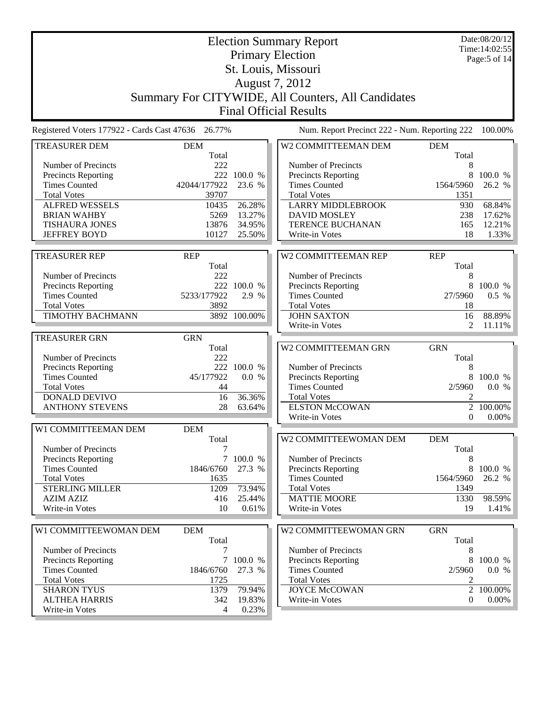|                                                    |                     |                       | <b>Election Summary Report</b><br><b>Primary Election</b> |                     | Date:08/20/12<br>Time: 14:02:55<br>Page:5 of 14 |
|----------------------------------------------------|---------------------|-----------------------|-----------------------------------------------------------|---------------------|-------------------------------------------------|
|                                                    |                     |                       | St. Louis, Missouri                                       |                     |                                                 |
|                                                    |                     |                       | August 7, 2012                                            |                     |                                                 |
|                                                    |                     |                       | Summary For CITYWIDE, All Counters, All Candidates        |                     |                                                 |
|                                                    |                     |                       | <b>Final Official Results</b>                             |                     |                                                 |
| Registered Voters 177922 - Cards Cast 47636 26.77% |                     |                       | Num. Report Precinct 222 - Num. Reporting 222             |                     | 100.00%                                         |
| <b>TREASURER DEM</b>                               | <b>DEM</b>          |                       | W2 COMMITTEEMAN DEM                                       | <b>DEM</b>          |                                                 |
|                                                    | Total               |                       |                                                           | Total               |                                                 |
| Number of Precincts                                | 222                 |                       | Number of Precincts                                       | 8                   |                                                 |
| Precincts Reporting<br><b>Times Counted</b>        | 42044/177922        | 222 100.0 %<br>23.6 % | Precincts Reporting<br><b>Times Counted</b>               | 8<br>1564/5960      | 100.0 %<br>26.2 %                               |
| <b>Total Votes</b>                                 | 39707               |                       | <b>Total Votes</b>                                        | 1351                |                                                 |
| <b>ALFRED WESSELS</b>                              | 10435               | 26.28%                | <b>LARRY MIDDLEBROOK</b>                                  | 930                 | 68.84%                                          |
| <b>BRIAN WAHBY</b>                                 | 5269                | 13.27%                | <b>DAVID MOSLEY</b>                                       | 238                 | 17.62%                                          |
| <b>TISHAURA JONES</b>                              | 13876               | 34.95%                | TERENCE BUCHANAN                                          | 165                 | 12.21%                                          |
| <b>JEFFREY BOYD</b>                                | 10127               | 25.50%                | Write-in Votes                                            | 18                  | 1.33%                                           |
|                                                    |                     |                       | W2 COMMITTEEMAN REP                                       | <b>REP</b>          |                                                 |
| <b>TREASURER REP</b>                               | <b>REP</b><br>Total |                       |                                                           | Total               |                                                 |
| Number of Precincts                                | 222                 |                       | Number of Precincts                                       | 8                   |                                                 |
| Precincts Reporting                                |                     | 222 100.0 %           | Precincts Reporting                                       | 8                   | 100.0 %                                         |
| <b>Times Counted</b>                               | 5233/177922         | 2.9 %                 | <b>Times Counted</b>                                      | 27/5960             | 0.5 %                                           |
| <b>Total Votes</b>                                 | 3892                |                       | <b>Total Votes</b>                                        | 18                  |                                                 |
| <b>TIMOTHY BACHMANN</b>                            |                     | 3892 100.00%          | <b>JOHN SAXTON</b>                                        | 16                  | 88.89%                                          |
|                                                    |                     |                       | Write-in Votes                                            | 2                   | 11.11%                                          |
| <b>TREASURER GRN</b>                               | <b>GRN</b>          |                       |                                                           |                     |                                                 |
|                                                    | Total               |                       | W2 COMMITTEEMAN GRN                                       | <b>GRN</b>          |                                                 |
| Number of Precincts                                | 222                 |                       |                                                           | Total               |                                                 |
| Precincts Reporting                                |                     | 222 100.0 %           | Number of Precincts                                       | 8                   |                                                 |
| <b>Times Counted</b>                               | 45/177922           | 0.0 %                 | Precincts Reporting                                       | 8                   | 100.0 %                                         |
| <b>Total Votes</b>                                 | 44                  |                       | <b>Times Counted</b>                                      | 2/5960              | 0.0 %                                           |
| <b>DONALD DEVIVO</b>                               | 16                  | 36.36%                | <b>Total Votes</b>                                        | 2                   |                                                 |
| <b>ANTHONY STEVENS</b>                             | 28                  | 63.64%                | <b>ELSTON McCOWAN</b>                                     | $\overline{2}$      | 100.00%                                         |
|                                                    |                     |                       | Write-in Votes                                            | $\boldsymbol{0}$    | 0.00%                                           |
| W1 COMMITTEEMAN DEM                                | <b>DEM</b><br>Total |                       | W2 COMMITTEEWOMAN DEM                                     | <b>DEM</b>          |                                                 |
| Number of Precincts                                | 7                   |                       |                                                           | Total               |                                                 |
| <b>Precincts Reporting</b>                         | 7 <sup>7</sup>      | 100.0 %               | Number of Precincts                                       | 8                   |                                                 |
| <b>Times Counted</b>                               | 1846/6760           | 27.3 %                | Precincts Reporting                                       | 8                   | 100.0 %                                         |
| <b>Total Votes</b>                                 | 1635                |                       | <b>Times Counted</b>                                      | 1564/5960           | 26.2 %                                          |
| <b>STERLING MILLER</b>                             | 1209                | 73.94%                | <b>Total Votes</b>                                        | 1349                |                                                 |
| <b>AZIM AZIZ</b>                                   | 416                 | 25.44%                | <b>MATTIE MOORE</b>                                       | 1330                | 98.59%                                          |
| Write-in Votes                                     | 10                  | 0.61%                 | Write-in Votes                                            | 19                  | 1.41%                                           |
|                                                    |                     |                       |                                                           |                     |                                                 |
| W1 COMMITTEEWOMAN DEM                              | <b>DEM</b><br>Total |                       | W2 COMMITTEEWOMAN GRN                                     | <b>GRN</b><br>Total |                                                 |
| Number of Precincts                                | 7                   |                       | Number of Precincts                                       | 8                   |                                                 |
| Precincts Reporting                                | $7\overline{ }$     | 100.0 %               | Precincts Reporting                                       | 8                   | 100.0 %                                         |
| <b>Times Counted</b>                               | 1846/6760           | 27.3 %                | <b>Times Counted</b>                                      | 2/5960              | 0.0 %                                           |
| <b>Total Votes</b>                                 | 1725                |                       | <b>Total Votes</b>                                        | 2                   |                                                 |
| <b>SHARON TYUS</b>                                 | 1379                | 79.94%                | <b>JOYCE McCOWAN</b>                                      | $\overline{2}$      | 100.00%                                         |
| <b>ALTHEA HARRIS</b>                               | 342                 | 19.83%                | Write-in Votes                                            | $\boldsymbol{0}$    | 0.00%                                           |
| Write-in Votes                                     | 4                   | 0.23%                 |                                                           |                     |                                                 |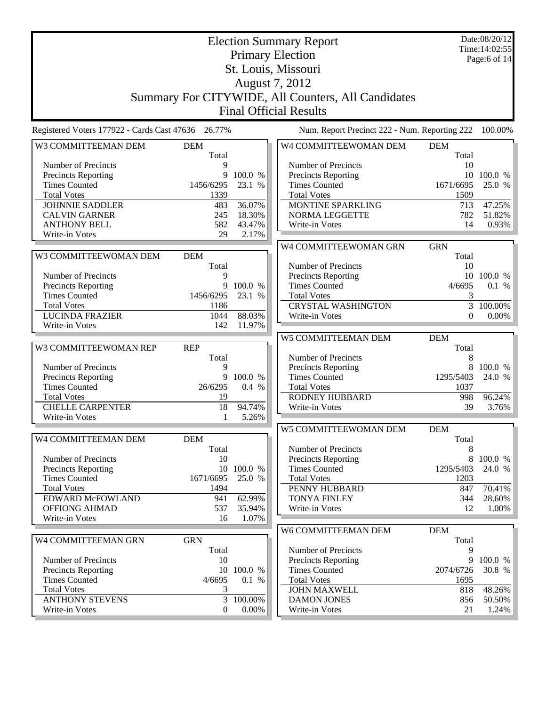|                                                    |                   |            | <b>Election Summary Report</b><br><b>Primary Election</b><br>St. Louis, Missouri<br>August 7, 2012<br>Summary For CITYWIDE, All Counters, All Candidates<br><b>Final Official Results</b> |                   | Date:08/20/12<br>Time: 14:02:55<br>Page: 6 of $14$ |
|----------------------------------------------------|-------------------|------------|-------------------------------------------------------------------------------------------------------------------------------------------------------------------------------------------|-------------------|----------------------------------------------------|
| Registered Voters 177922 - Cards Cast 47636 26.77% |                   |            | Num. Report Precinct 222 - Num. Reporting 222                                                                                                                                             |                   | 100.00%                                            |
| W3 COMMITTEEMAN DEM<br><b>DEM</b>                  |                   |            | W4 COMMITTEEWOMAN DEM                                                                                                                                                                     | <b>DEM</b>        |                                                    |
|                                                    | Total             |            |                                                                                                                                                                                           | Total             |                                                    |
| Number of Precincts                                | 9                 |            | Number of Precincts                                                                                                                                                                       | 10                |                                                    |
| Precincts Reporting                                | 9                 | 100.0 %    | <b>Precincts Reporting</b>                                                                                                                                                                |                   | 10 100.0 %                                         |
| <b>Times Counted</b><br><b>Total Votes</b>         | 1456/6295<br>1339 | 23.1 %     | <b>Times Counted</b><br><b>Total Votes</b>                                                                                                                                                | 1671/6695<br>1509 | 25.0 %                                             |
| <b>JOHNNIE SADDLER</b>                             | 483               | 36.07%     | MONTINE SPARKLING                                                                                                                                                                         | 713               | 47.25%                                             |
| <b>CALVIN GARNER</b>                               | 245               | 18.30%     | <b>NORMA LEGGETTE</b>                                                                                                                                                                     | 782               | 51.82%                                             |
| <b>ANTHONY BELL</b>                                | 582               | 43.47%     | Write-in Votes                                                                                                                                                                            | 14                | 0.93%                                              |
| Write-in Votes                                     | 29                | 2.17%      |                                                                                                                                                                                           |                   |                                                    |
|                                                    |                   |            | W4 COMMITTEEWOMAN GRN                                                                                                                                                                     | <b>GRN</b>        |                                                    |
| W3 COMMITTEEWOMAN DEM<br><b>DEM</b>                |                   |            |                                                                                                                                                                                           | Total             |                                                    |
|                                                    | Total             |            | Number of Precincts                                                                                                                                                                       | 10                |                                                    |
| Number of Precincts                                | 9                 |            | <b>Precincts Reporting</b>                                                                                                                                                                |                   | 10 100.0 %                                         |
| <b>Precincts Reporting</b>                         | 9                 | 100.0 %    | <b>Times Counted</b>                                                                                                                                                                      | 4/6695            | 0.1 %                                              |
| <b>Times Counted</b>                               | 1456/6295         | 23.1 %     | <b>Total Votes</b>                                                                                                                                                                        | 3                 |                                                    |
| <b>Total Votes</b>                                 | 1186              |            | <b>CRYSTAL WASHINGTON</b>                                                                                                                                                                 | 3                 | 100.00%                                            |
| <b>LUCINDA FRAZIER</b>                             | 1044              | 88.03%     | Write-in Votes                                                                                                                                                                            | 0                 | $0.00\%$                                           |
| Write-in Votes                                     | 142               | 11.97%     |                                                                                                                                                                                           |                   |                                                    |
|                                                    |                   |            | W5 COMMITTEEMAN DEM                                                                                                                                                                       | <b>DEM</b>        |                                                    |
| W3 COMMITTEEWOMAN REP<br><b>REP</b>                |                   |            |                                                                                                                                                                                           | Total             |                                                    |
| Number of Precincts                                | Total<br>9        |            | Number of Precincts                                                                                                                                                                       | 8                 | 8 100.0 %                                          |
| <b>Precincts Reporting</b>                         | 9                 | 100.0 %    | <b>Precincts Reporting</b><br><b>Times Counted</b>                                                                                                                                        | 1295/5403         | 24.0 %                                             |
| <b>Times Counted</b>                               | 26/6295           | 0.4%       | <b>Total Votes</b>                                                                                                                                                                        | 1037              |                                                    |
| <b>Total Votes</b>                                 | 19                |            | <b>RODNEY HUBBARD</b>                                                                                                                                                                     | 998               | 96.24%                                             |
| <b>CHELLE CARPENTER</b>                            | 18                | 94.74%     | Write-in Votes                                                                                                                                                                            | 39                | 3.76%                                              |
| Write-in Votes                                     | 1                 | 5.26%      |                                                                                                                                                                                           |                   |                                                    |
|                                                    |                   |            | W5 COMMITTEEWOMAN DEM                                                                                                                                                                     | <b>DEM</b>        |                                                    |
| W4 COMMITTEEMAN DEM<br><b>DEM</b>                  |                   |            |                                                                                                                                                                                           | Total             |                                                    |
|                                                    | Total             |            | Number of Precincts                                                                                                                                                                       | 8                 |                                                    |
| Number of Precincts                                | 10                |            | <b>Precincts Reporting</b>                                                                                                                                                                | 8                 | 100.0 %                                            |
| <b>Precincts Reporting</b>                         |                   | 10 100.0 % | <b>Times Counted</b>                                                                                                                                                                      | 1295/5403         | 24.0 %                                             |
| <b>Times Counted</b>                               | 1671/6695         | 25.0 %     | <b>Total Votes</b>                                                                                                                                                                        | 1203              |                                                    |
| <b>Total Votes</b>                                 | 1494              |            | PENNY HUBBARD                                                                                                                                                                             | 847               | 70.41%                                             |
| EDWARD McFOWLAND                                   | 941               | 62.99%     | <b>TONYA FINLEY</b>                                                                                                                                                                       | 344               | 28.60%                                             |
| <b>OFFIONG AHMAD</b>                               | 537               | 35.94%     | Write-in Votes                                                                                                                                                                            | 12                | 1.00%                                              |
| Write-in Votes                                     | 16                | 1.07%      |                                                                                                                                                                                           |                   |                                                    |
|                                                    |                   |            | W6 COMMITTEEMAN DEM                                                                                                                                                                       | <b>DEM</b>        |                                                    |
| W4 COMMITTEEMAN GRN<br><b>GRN</b>                  | Total             |            | Number of Precincts                                                                                                                                                                       | Total<br>9        |                                                    |
| Number of Precincts                                | 10                |            | Precincts Reporting                                                                                                                                                                       | 9                 | 100.0 %                                            |
| <b>Precincts Reporting</b>                         | 10                | 100.0 %    | <b>Times Counted</b>                                                                                                                                                                      | 2074/6726         | 30.8 %                                             |
| <b>Times Counted</b>                               | 4/6695            | 0.1 %      | <b>Total Votes</b>                                                                                                                                                                        | 1695              |                                                    |
| <b>Total Votes</b>                                 | 3                 |            | <b>JOHN MAXWELL</b>                                                                                                                                                                       | 818               | 48.26%                                             |
| <b>ANTHONY STEVENS</b>                             | 3                 | 100.00%    | <b>DAMON JONES</b>                                                                                                                                                                        | 856               | 50.50%                                             |
| Write-in Votes                                     | $\overline{0}$    | $0.00\%$   | Write-in Votes                                                                                                                                                                            | 21                | 1.24%                                              |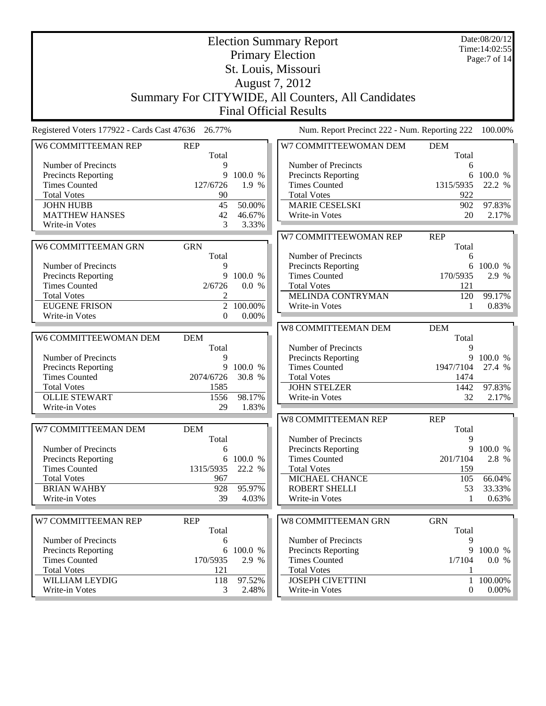|                                                    |                |           | <b>Election Summary Report</b>                     |                  | Date:08/20/12  |
|----------------------------------------------------|----------------|-----------|----------------------------------------------------|------------------|----------------|
|                                                    |                |           |                                                    |                  | Time: 14:02:55 |
|                                                    |                |           | <b>Primary Election</b>                            |                  | Page:7 of 14   |
|                                                    |                |           | St. Louis, Missouri                                |                  |                |
|                                                    |                |           | August 7, 2012                                     |                  |                |
|                                                    |                |           |                                                    |                  |                |
|                                                    |                |           | Summary For CITYWIDE, All Counters, All Candidates |                  |                |
|                                                    |                |           | <b>Final Official Results</b>                      |                  |                |
|                                                    |                |           |                                                    |                  |                |
| Registered Voters 177922 - Cards Cast 47636 26.77% |                |           | Num. Report Precinct 222 - Num. Reporting 222      |                  | 100.00%        |
| W6 COMMITTEEMAN REP                                | <b>REP</b>     |           | W7 COMMITTEEWOMAN DEM                              | <b>DEM</b>       |                |
|                                                    | Total          |           |                                                    | Total            |                |
| Number of Precincts                                | 9              |           | Number of Precincts                                | 6                |                |
| Precincts Reporting                                | 9              | 100.0 %   | Precincts Reporting                                | 6                | 100.0 %        |
| <b>Times Counted</b>                               | 127/6726       | 1.9 %     | <b>Times Counted</b>                               | 1315/5935        | 22.2 %         |
| <b>Total Votes</b>                                 | 90             |           | <b>Total Votes</b>                                 | 922              |                |
| <b>JOHN HUBB</b>                                   | 45             | 50.00%    | <b>MARIE CESELSKI</b>                              | 902              | 97.83%         |
| <b>MATTHEW HANSES</b>                              | 42             | 46.67%    | Write-in Votes                                     | 20               | 2.17%          |
| Write-in Votes                                     | 3              | 3.33%     |                                                    |                  |                |
|                                                    |                |           | W7 COMMITTEEWOMAN REP                              | <b>REP</b>       |                |
| W6 COMMITTEEMAN GRN                                | <b>GRN</b>     |           |                                                    | Total            |                |
|                                                    | Total          |           | Number of Precincts                                | 6                |                |
| Number of Precincts                                | 9              |           | Precincts Reporting                                | 6                | 100.0 %        |
| Precincts Reporting                                |                | 9 100.0 % | <b>Times Counted</b>                               | 170/5935         | 2.9 %          |
| <b>Times Counted</b>                               | 2/6726         | 0.0 %     | <b>Total Votes</b>                                 | 121              |                |
| <b>Total Votes</b>                                 | 2              |           | MELINDA CONTRYMAN                                  | 120              | 99.17%         |
| <b>EUGENE FRISON</b>                               | $\overline{2}$ | 100.00%   | Write-in Votes                                     | 1                | 0.83%          |
| Write-in Votes                                     | $\overline{0}$ | 0.00%     |                                                    |                  |                |
|                                                    |                |           | W8 COMMITTEEMAN DEM                                | <b>DEM</b>       |                |
| W6 COMMITTEEWOMAN DEM                              | <b>DEM</b>     |           |                                                    | Total            |                |
|                                                    | Total          |           | Number of Precincts                                | 9                |                |
| Number of Precincts                                | 9              |           | <b>Precincts Reporting</b>                         | 9                | 100.0 %        |
| Precincts Reporting                                | 9              | 100.0 %   | <b>Times Counted</b>                               | 1947/7104        | 27.4 %         |
| <b>Times Counted</b>                               | 2074/6726      | 30.8 %    | <b>Total Votes</b>                                 | 1474             |                |
| <b>Total Votes</b>                                 | 1585           |           | <b>JOHN STELZER</b>                                | 1442             | 97.83%         |
| <b>OLLIE STEWART</b>                               | 1556           | 98.17%    | Write-in Votes                                     | 32               | 2.17%          |
| Write-in Votes                                     | 29             | 1.83%     |                                                    |                  |                |
|                                                    |                |           | W8 COMMITTEEMAN REP                                | <b>REP</b>       |                |
| W7 COMMITTEEMAN DEM                                | <b>DEM</b>     |           |                                                    | Total            |                |
|                                                    | Total          |           | Number of Precincts                                | 9                |                |
| Number of Precincts                                | 6              |           | <b>Precincts Reporting</b>                         | 9                | 100.0 %        |
| <b>Precincts Reporting</b>                         | 6              | 100.0 %   | <b>Times Counted</b>                               | 201/7104         | 2.8 %          |
| <b>Times Counted</b>                               | 1315/5935      | 22.2 %    | <b>Total Votes</b>                                 | 159              |                |
| <b>Total Votes</b>                                 | 967            |           | MICHAEL CHANCE                                     | 105              | 66.04%         |
| <b>BRIAN WAHBY</b>                                 | 928            | 95.97%    | <b>ROBERT SHELLI</b>                               | 53               | 33.33%         |
| Write-in Votes                                     | 39             | 4.03%     | Write-in Votes                                     | 1                | 0.63%          |
|                                                    |                |           |                                                    |                  |                |
| W7 COMMITTEEMAN REP                                | <b>REP</b>     |           | <b>W8 COMMITTEEMAN GRN</b>                         | <b>GRN</b>       |                |
|                                                    | Total          |           |                                                    | Total            |                |
| Number of Precincts                                | 6              |           | Number of Precincts                                | 9                |                |
| Precincts Reporting                                | 6              | 100.0 %   | Precincts Reporting                                | 9                | 100.0 %        |
| <b>Times Counted</b>                               | 170/5935       | 2.9 %     | <b>Times Counted</b>                               | 1/7104           | 0.0 %          |
| <b>Total Votes</b>                                 | 121            |           | <b>Total Votes</b>                                 | 1                |                |
| WILLIAM LEYDIG                                     | 118            | 97.52%    | <b>JOSEPH CIVETTINI</b>                            |                  | 1 100.00%      |
| Write-in Votes                                     | 3              | 2.48%     | Write-in Votes                                     | $\boldsymbol{0}$ | $0.00\%$       |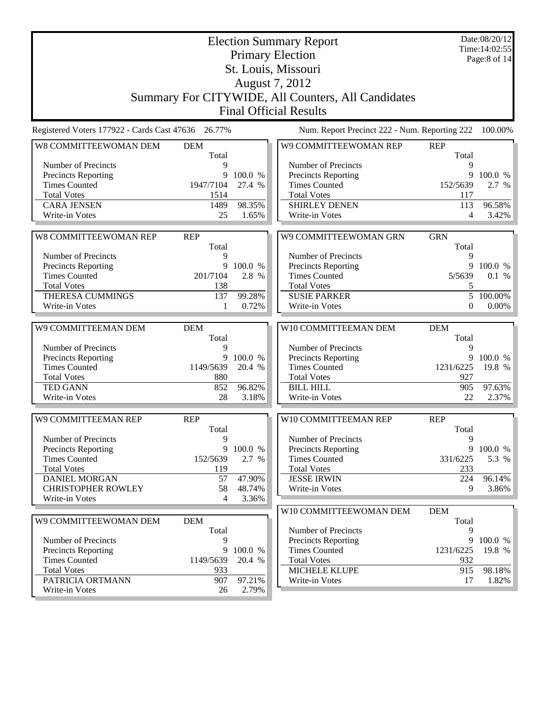|                                             |                     |                  | <b>Election Summary Report</b><br><b>Primary Election</b> |                     | Date:08/20/12<br>Time: 14:02:55<br>Page:8 of 14 |
|---------------------------------------------|---------------------|------------------|-----------------------------------------------------------|---------------------|-------------------------------------------------|
|                                             |                     |                  | St. Louis, Missouri                                       |                     |                                                 |
|                                             |                     |                  | August 7, 2012                                            |                     |                                                 |
|                                             |                     |                  | Summary For CITYWIDE, All Counters, All Candidates        |                     |                                                 |
|                                             |                     |                  | <b>Final Official Results</b>                             |                     |                                                 |
|                                             |                     |                  |                                                           |                     |                                                 |
| Registered Voters 177922 - Cards Cast 47636 | 26.77%              |                  | Num. Report Precinct 222 - Num. Reporting 222             |                     | 100.00%                                         |
| W8 COMMITTEEWOMAN DEM                       | <b>DEM</b><br>Total |                  | W9 COMMITTEEWOMAN REP                                     | <b>REP</b><br>Total |                                                 |
| Number of Precincts                         | 9                   |                  | Number of Precincts                                       | 9                   |                                                 |
| <b>Precincts Reporting</b>                  | 9                   | 100.0 %          | <b>Precincts Reporting</b>                                | 9                   | 100.0 %                                         |
| <b>Times Counted</b>                        | 1947/7104           | 27.4 %           | <b>Times Counted</b>                                      | 152/5639            | 2.7 %                                           |
| <b>Total Votes</b>                          | 1514                |                  | <b>Total Votes</b>                                        | 117                 |                                                 |
| <b>CARA JENSEN</b>                          | 1489                | 98.35%           | <b>SHIRLEY DENEN</b>                                      | 113                 | 96.58%                                          |
| Write-in Votes                              | 25                  | 1.65%            | Write-in Votes                                            | 4                   | 3.42%                                           |
|                                             |                     |                  |                                                           |                     |                                                 |
| <b>W8 COMMITTEEWOMAN REP</b>                | <b>REP</b>          |                  | W9 COMMITTEEWOMAN GRN                                     | <b>GRN</b>          |                                                 |
|                                             | Total               |                  |                                                           | Total               |                                                 |
| Number of Precincts                         | 9                   |                  | Number of Precincts                                       | 9                   |                                                 |
| <b>Precincts Reporting</b>                  | 9                   | 100.0 %          | <b>Precincts Reporting</b>                                | 9                   | 100.0 %                                         |
| <b>Times Counted</b>                        | 201/7104            | 2.8 %            | <b>Times Counted</b>                                      | 5/5639              | 0.1 %                                           |
| <b>Total Votes</b>                          | 138                 |                  | <b>Total Votes</b>                                        | 5                   |                                                 |
| <b>THERESA CUMMINGS</b>                     | 137                 | 99.28%           | <b>SUSIE PARKER</b>                                       | 5                   | 100.00%                                         |
| Write-in Votes                              | 1                   | 0.72%            | Write-in Votes                                            | $\mathbf{0}$        | 0.00%                                           |
|                                             |                     |                  |                                                           |                     |                                                 |
| W9 COMMITTEEMAN DEM                         | <b>DEM</b>          |                  | W10 COMMITTEEMAN DEM                                      | <b>DEM</b>          |                                                 |
| Number of Precincts                         | Total<br>9          |                  | Number of Precincts                                       | Total<br>9          |                                                 |
| Precincts Reporting                         | 9                   | 100.0 %          | <b>Precincts Reporting</b>                                | 9                   | 100.0 %                                         |
| <b>Times Counted</b>                        | 1149/5639           | 20.4 %           | <b>Times Counted</b>                                      | 1231/6225           | 19.8 %                                          |
| <b>Total Votes</b>                          | 880                 |                  | <b>Total Votes</b>                                        | 927                 |                                                 |
| <b>TED GANN</b>                             | 852                 | 96.82%           | <b>BILL HILL</b>                                          | 905                 | 97.63%                                          |
| Write-in Votes                              | 28                  | 3.18%            | Write-in Votes                                            | 22                  | 2.37%                                           |
|                                             |                     |                  |                                                           |                     |                                                 |
| W9 COMMITTEEMAN REP                         | <b>REP</b>          |                  | W10 COMMITTEEMAN REP                                      | <b>REP</b>          |                                                 |
|                                             | Total               |                  |                                                           | Total               |                                                 |
| Number of Precincts                         | 9                   |                  | Number of Precincts                                       | 9                   |                                                 |
| <b>Precincts Reporting</b>                  |                     | 9 100.0 %        | <b>Precincts Reporting</b>                                |                     | 9 100.0 %                                       |
| <b>Times Counted</b>                        | 152/5639            | 2.7 %            | <b>Times Counted</b>                                      | 331/6225            | 5.3 %                                           |
| <b>Total Votes</b><br><b>DANIEL MORGAN</b>  | 119                 |                  | <b>Total Votes</b><br><b>JESSE IRWIN</b>                  | 233                 |                                                 |
| <b>CHRISTOPHER ROWLEY</b>                   | 57<br>58            | 47.90%<br>48.74% | Write-in Votes                                            | 224<br>9            | 96.14%<br>3.86%                                 |
| Write-in Votes                              | 4                   | 3.36%            |                                                           |                     |                                                 |
|                                             |                     |                  |                                                           |                     |                                                 |
|                                             |                     |                  | W10 COMMITTEEWOMAN DEM                                    | <b>DEM</b>          |                                                 |
| W9 COMMITTEEWOMAN DEM                       | <b>DEM</b>          |                  |                                                           | Total               |                                                 |
|                                             | Total               |                  | Number of Precincts                                       | 9                   |                                                 |
| Number of Precincts                         | 9<br>9              | 100.0 %          | Precincts Reporting<br><b>Times Counted</b>               |                     | 9 100.0 %<br>19.8 %                             |
| Precincts Reporting<br><b>Times Counted</b> | 1149/5639           | 20.4 %           | <b>Total Votes</b>                                        | 1231/6225<br>932    |                                                 |
| <b>Total Votes</b>                          | 933                 |                  | MICHELE KLUPE                                             | 915                 | 98.18%                                          |
| PATRICIA ORTMANN                            | 907                 | 97.21%           | Write-in Votes                                            | 17                  | 1.82%                                           |
| Write-in Votes                              | 26                  | 2.79%            |                                                           |                     |                                                 |
|                                             |                     |                  |                                                           |                     |                                                 |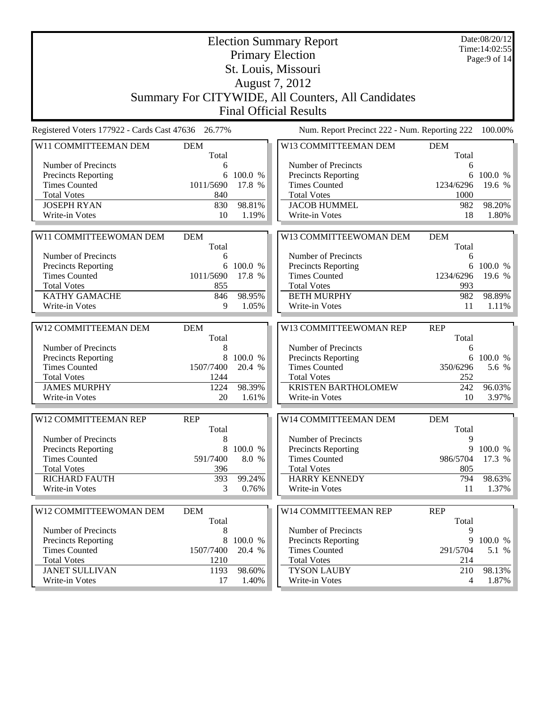|                                                    |                     |                 | <b>Election Summary Report</b><br><b>Primary Election</b> |                     | Date:08/20/12<br>Time: 14:02:55 |
|----------------------------------------------------|---------------------|-----------------|-----------------------------------------------------------|---------------------|---------------------------------|
|                                                    |                     |                 |                                                           |                     | Page: $9$ of 14                 |
|                                                    |                     |                 | St. Louis, Missouri                                       |                     |                                 |
|                                                    |                     |                 | August 7, 2012                                            |                     |                                 |
|                                                    |                     |                 | Summary For CITYWIDE, All Counters, All Candidates        |                     |                                 |
|                                                    |                     |                 | <b>Final Official Results</b>                             |                     |                                 |
| Registered Voters 177922 - Cards Cast 47636 26.77% |                     |                 | Num. Report Precinct 222 - Num. Reporting 222             |                     | 100.00%                         |
| W11 COMMITTEEMAN DEM                               | <b>DEM</b><br>Total |                 | W13 COMMITTEEMAN DEM                                      | <b>DEM</b><br>Total |                                 |
| Number of Precincts                                | 6                   |                 | Number of Precincts                                       | 6                   |                                 |
| <b>Precincts Reporting</b>                         | 6                   | 100.0 %         | <b>Precincts Reporting</b>                                | 6                   | 100.0 %                         |
| <b>Times Counted</b>                               | 1011/5690           | 17.8 %          | <b>Times Counted</b>                                      | 1234/6296           | 19.6 %                          |
| <b>Total Votes</b>                                 | 840                 |                 | <b>Total Votes</b>                                        | 1000                |                                 |
| <b>JOSEPH RYAN</b>                                 | 830                 | 98.81%          | <b>JACOB HUMMEL</b>                                       | 982                 | 98.20%                          |
| Write-in Votes                                     | 10                  | 1.19%           | Write-in Votes                                            | 18                  | 1.80%                           |
| W11 COMMITTEEWOMAN DEM                             | <b>DEM</b>          |                 | W13 COMMITTEEWOMAN DEM                                    | <b>DEM</b>          |                                 |
|                                                    | Total               |                 |                                                           | Total               |                                 |
| Number of Precincts                                | 6                   |                 | Number of Precincts                                       | 6                   |                                 |
| <b>Precincts Reporting</b>                         | 6                   | 100.0 %         | Precincts Reporting                                       | 6                   | 100.0 %                         |
| <b>Times Counted</b>                               | 1011/5690           | 17.8 %          | <b>Times Counted</b>                                      | 1234/6296           | 19.6 %                          |
| <b>Total Votes</b>                                 | 855                 |                 | <b>Total Votes</b>                                        | 993                 |                                 |
| <b>KATHY GAMACHE</b><br>Write-in Votes             | 846<br>9            | 98.95%<br>1.05% | <b>BETH MURPHY</b><br>Write-in Votes                      | 982<br>11           | 98.89%<br>1.11%                 |
|                                                    |                     |                 |                                                           |                     |                                 |
| W12 COMMITTEEMAN DEM                               | <b>DEM</b>          |                 | W13 COMMITTEEWOMAN REP                                    | <b>REP</b>          |                                 |
|                                                    | Total               |                 |                                                           | Total               |                                 |
| Number of Precincts                                | 8                   |                 | Number of Precincts                                       | 6                   |                                 |
| Precincts Reporting                                | 8                   | 100.0 %         | Precincts Reporting                                       |                     | 6 100.0 %                       |
| <b>Times Counted</b>                               | 1507/7400           | 20.4 %          | <b>Times Counted</b>                                      | 350/6296            | 5.6 %                           |
| <b>Total Votes</b>                                 | 1244                |                 | <b>Total Votes</b>                                        | 252                 |                                 |
| <b>JAMES MURPHY</b><br>Write-in Votes              | 1224<br>20          | 98.39%<br>1.61% | <b>KRISTEN BARTHOLOMEW</b><br>Write-in Votes              | 242<br>10           | 96.03%<br>3.97%                 |
|                                                    |                     |                 |                                                           |                     |                                 |
| W12 COMMITTEEMAN REP                               | <b>REP</b>          |                 | W14 COMMITTEEMAN DEM                                      | <b>DEM</b>          |                                 |
|                                                    | Total               |                 |                                                           | Total               |                                 |
| Number of Precincts                                | 8                   |                 | Number of Precincts                                       | 9                   |                                 |
| Precincts Reporting                                | 8                   | 100.0 %         | <b>Precincts Reporting</b>                                | 9                   | 100.0 %                         |
| <b>Times Counted</b>                               | 591/7400            | 8.0 %           | <b>Times Counted</b>                                      | 986/5704            | 17.3 %                          |
| <b>Total Votes</b><br><b>RICHARD FAUTH</b>         | 396<br>393          |                 | <b>Total Votes</b>                                        | 805                 |                                 |
| Write-in Votes                                     | 3                   | 99.24%<br>0.76% | <b>HARRY KENNEDY</b><br>Write-in Votes                    | 794<br>11           | 98.63%<br>1.37%                 |
|                                                    |                     |                 |                                                           |                     |                                 |
| W12 COMMITTEEWOMAN DEM                             | <b>DEM</b><br>Total |                 | <b>W14 COMMITTEEMAN REP</b>                               | <b>REP</b><br>Total |                                 |
| Number of Precincts                                | 8                   |                 | Number of Precincts                                       | 9                   |                                 |
| Precincts Reporting                                | 8                   | 100.0 %         | <b>Precincts Reporting</b>                                | 9                   | 100.0 %                         |
| <b>Times Counted</b>                               | 1507/7400           | 20.4 %          | <b>Times Counted</b>                                      | 291/5704            | 5.1 %                           |
| <b>Total Votes</b>                                 | 1210                |                 | <b>Total Votes</b>                                        | 214                 |                                 |
| <b>JANET SULLIVAN</b>                              | 1193                | 98.60%          | <b>TYSON LAUBY</b>                                        | 210                 | 98.13%                          |
| Write-in Votes                                     | 17                  | 1.40%           | Write-in Votes                                            | 4                   | 1.87%                           |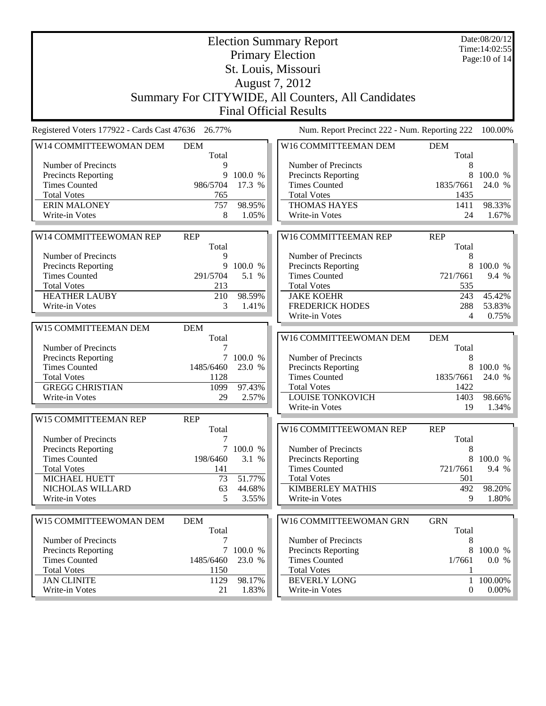|                                                    |                     |                   | <b>Election Summary Report</b>                     |                     | Date:08/20/12<br>Time: 14:02:55 |
|----------------------------------------------------|---------------------|-------------------|----------------------------------------------------|---------------------|---------------------------------|
|                                                    |                     |                   | <b>Primary Election</b>                            |                     | Page: 10 of 14                  |
|                                                    |                     |                   | St. Louis, Missouri                                |                     |                                 |
|                                                    |                     |                   | August 7, 2012                                     |                     |                                 |
|                                                    |                     |                   |                                                    |                     |                                 |
|                                                    |                     |                   | Summary For CITYWIDE, All Counters, All Candidates |                     |                                 |
|                                                    |                     |                   | <b>Final Official Results</b>                      |                     |                                 |
| Registered Voters 177922 - Cards Cast 47636 26.77% |                     |                   | Num. Report Precinct 222 - Num. Reporting 222      |                     | 100.00%                         |
| W14 COMMITTEEWOMAN DEM                             | <b>DEM</b>          |                   | W16 COMMITTEEMAN DEM                               | <b>DEM</b>          |                                 |
|                                                    | Total               |                   |                                                    | Total               |                                 |
| Number of Precincts                                | 9                   |                   | Number of Precincts                                | 8                   |                                 |
| Precincts Reporting<br><b>Times Counted</b>        | 9<br>986/5704       | 100.0 %<br>17.3 % | Precincts Reporting<br><b>Times Counted</b>        | 8<br>1835/7661      | 100.0 %<br>24.0 %               |
| <b>Total Votes</b>                                 | 765                 |                   | <b>Total Votes</b>                                 | 1435                |                                 |
| <b>ERIN MALONEY</b>                                | 757                 | 98.95%            | <b>THOMAS HAYES</b>                                | 1411                | 98.33%                          |
| Write-in Votes                                     | 8                   | 1.05%             | Write-in Votes                                     | 24                  | 1.67%                           |
|                                                    |                     |                   |                                                    |                     |                                 |
| W14 COMMITTEEWOMAN REP                             | <b>REP</b>          |                   | W16 COMMITTEEMAN REP                               | <b>REP</b>          |                                 |
|                                                    | Total               |                   |                                                    | Total               |                                 |
| Number of Precincts                                | 9                   |                   | Number of Precincts                                | 8                   |                                 |
| Precincts Reporting                                |                     | 9 100.0 %         | Precincts Reporting                                | 8                   | 100.0 %                         |
| <b>Times Counted</b>                               | 291/5704            | 5.1 %             | <b>Times Counted</b>                               | 721/7661            | 9.4 %                           |
| <b>Total Votes</b>                                 | 213                 |                   | <b>Total Votes</b>                                 | 535                 |                                 |
| <b>HEATHER LAUBY</b>                               | 210                 | 98.59%            | <b>JAKE KOEHR</b>                                  | 243                 | 45.42%                          |
| Write-in Votes                                     | 3                   | 1.41%             | <b>FREDERICK HODES</b>                             | 288                 | 53.83%                          |
|                                                    |                     |                   | Write-in Votes                                     | 4                   | 0.75%                           |
| W15 COMMITTEEMAN DEM                               | <b>DEM</b>          |                   |                                                    |                     |                                 |
|                                                    | Total               |                   | W16 COMMITTEEWOMAN DEM                             | <b>DEM</b>          |                                 |
| Number of Precincts                                | 7                   |                   |                                                    | Total               |                                 |
| Precincts Reporting<br><b>Times Counted</b>        | $\tau$<br>1485/6460 | 100.0 %<br>23.0 % | Number of Precincts<br>Precincts Reporting         | 8<br>8              | 100.0 %                         |
| <b>Total Votes</b>                                 | 1128                |                   | <b>Times Counted</b>                               | 1835/7661           | 24.0 %                          |
| <b>GREGG CHRISTIAN</b>                             | 1099                | 97.43%            | <b>Total Votes</b>                                 | 1422                |                                 |
| Write-in Votes                                     | 29                  | 2.57%             | <b>LOUISE TONKOVICH</b>                            | 1403                | 98.66%                          |
|                                                    |                     |                   | Write-in Votes                                     | 19                  | 1.34%                           |
| W15 COMMITTEEMAN REP                               | <b>REP</b>          |                   |                                                    |                     |                                 |
|                                                    | Total               |                   | W16 COMMITTEEWOMAN REP                             | <b>REP</b>          |                                 |
| Number of Precincts                                | 7                   |                   |                                                    | Total               |                                 |
| Precincts Reporting                                |                     | 7 100.0 %         | Number of Precincts                                | 8                   |                                 |
| <b>Times Counted</b>                               | 198/6460            | 3.1 %             | <b>Precincts Reporting</b>                         | 8                   | 100.0 %                         |
| <b>Total Votes</b>                                 | 141                 |                   | <b>Times Counted</b>                               | 721/7661            | 9.4 %                           |
| MICHAEL HUETT                                      | 73                  | 51.77%            | <b>Total Votes</b>                                 | 501                 |                                 |
| NICHOLAS WILLARD                                   | 63                  | 44.68%            | <b>KIMBERLEY MATHIS</b>                            | 492                 | 98.20%                          |
| Write-in Votes                                     | 5                   | 3.55%             | Write-in Votes                                     | 9                   | 1.80%                           |
|                                                    |                     |                   |                                                    |                     |                                 |
| W15 COMMITTEEWOMAN DEM                             | <b>DEM</b><br>Total |                   | W16 COMMITTEEWOMAN GRN                             | <b>GRN</b><br>Total |                                 |
| Number of Precincts                                | 7                   |                   | Number of Precincts                                | 8                   |                                 |
| Precincts Reporting                                | $\tau$              | 100.0 %           | Precincts Reporting                                | 8                   | 100.0 %                         |
| <b>Times Counted</b>                               | 1485/6460           | 23.0 %            | <b>Times Counted</b>                               | 1/7661              | 0.0 %                           |
| <b>Total Votes</b>                                 | 1150                |                   | <b>Total Votes</b>                                 | 1                   |                                 |
| <b>JAN CLINITE</b>                                 | 1129                | 98.17%            | <b>BEVERLY LONG</b>                                | $\mathbf{1}$        | 100.00%                         |
| Write-in Votes                                     | 21                  | 1.83%             | Write-in Votes                                     | $\mathbf{0}$        | $0.00\%$                        |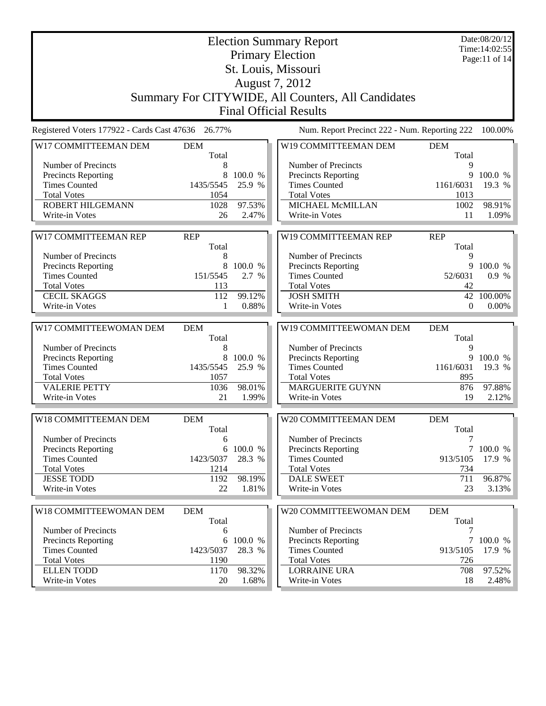|                                                    |                     |                   | <b>Election Summary Report</b>                     |                      | Date:08/20/12<br>Time: 14:02:55 |
|----------------------------------------------------|---------------------|-------------------|----------------------------------------------------|----------------------|---------------------------------|
|                                                    |                     |                   | <b>Primary Election</b>                            |                      | Page:11 of 14                   |
|                                                    |                     |                   | St. Louis, Missouri                                |                      |                                 |
|                                                    |                     |                   | August 7, 2012                                     |                      |                                 |
|                                                    |                     |                   | Summary For CITYWIDE, All Counters, All Candidates |                      |                                 |
|                                                    |                     |                   | <b>Final Official Results</b>                      |                      |                                 |
| Registered Voters 177922 - Cards Cast 47636 26.77% |                     |                   | Num. Report Precinct 222 - Num. Reporting 222      |                      | 100.00%                         |
|                                                    |                     |                   |                                                    |                      |                                 |
| W17 COMMITTEEMAN DEM                               | <b>DEM</b><br>Total |                   | W19 COMMITTEEMAN DEM                               | <b>DEM</b><br>Total  |                                 |
| Number of Precincts                                | 8                   |                   | Number of Precincts                                | 9                    |                                 |
| Precincts Reporting                                | 8                   | 100.0 %           | Precincts Reporting                                | 9                    | 100.0 %                         |
| <b>Times Counted</b>                               | 1435/5545           | 25.9 %            | <b>Times Counted</b>                               | 1161/6031            | 19.3 %                          |
| <b>Total Votes</b>                                 | 1054                |                   | <b>Total Votes</b>                                 | 1013                 |                                 |
| ROBERT HILGEMANN                                   | 1028                | 97.53%            | MICHAEL McMILLAN                                   | 1002                 | 98.91%                          |
| Write-in Votes                                     | 26                  | 2.47%             | Write-in Votes                                     | 11                   | 1.09%                           |
|                                                    |                     |                   |                                                    |                      |                                 |
| W17 COMMITTEEMAN REP                               | <b>REP</b>          |                   | W19 COMMITTEEMAN REP                               | <b>REP</b>           |                                 |
|                                                    | Total               |                   |                                                    | Total                |                                 |
| Number of Precincts                                | 8                   |                   | Number of Precincts                                | 9                    |                                 |
| Precincts Reporting                                | 8                   | 100.0 %           | Precincts Reporting                                | 9                    | 100.0 %                         |
| <b>Times Counted</b>                               | 151/5545            | 2.7 %             | <b>Times Counted</b>                               | 52/6031              | 0.9 %                           |
| <b>Total Votes</b>                                 | 113                 |                   | <b>Total Votes</b>                                 | 42                   |                                 |
| <b>CECIL SKAGGS</b>                                | 112                 | 99.12%<br>0.88%   | <b>JOSH SMITH</b><br>Write-in Votes                | 42<br>$\overline{0}$ | 100.00%                         |
| Write-in Votes                                     | 1                   |                   |                                                    |                      | 0.00%                           |
|                                                    |                     |                   |                                                    |                      |                                 |
|                                                    |                     |                   |                                                    |                      |                                 |
| W17 COMMITTEEWOMAN DEM                             | <b>DEM</b>          |                   | W19 COMMITTEEWOMAN DEM                             | <b>DEM</b>           |                                 |
|                                                    | Total               |                   |                                                    | Total                |                                 |
| Number of Precincts                                | 8<br>8              |                   | Number of Precincts                                | 9<br>9               |                                 |
| Precincts Reporting<br><b>Times Counted</b>        | 1435/5545           | 100.0 %<br>25.9 % | Precincts Reporting<br><b>Times Counted</b>        | 1161/6031            | 100.0 %<br>19.3 %               |
| <b>Total Votes</b>                                 | 1057                |                   | <b>Total Votes</b>                                 | 895                  |                                 |
| <b>VALERIE PETTY</b>                               | 1036                | 98.01%            | MARGUERITE GUYNN                                   | 876                  | 97.88%                          |
| Write-in Votes                                     | 21                  | 1.99%             | Write-in Votes                                     | 19                   | 2.12%                           |
|                                                    |                     |                   |                                                    |                      |                                 |
| W18 COMMITTEEMAN DEM                               | <b>DEM</b>          |                   | W20 COMMITTEEMAN DEM                               | <b>DEM</b>           |                                 |
|                                                    | Total               |                   |                                                    | Total                |                                 |
| Number of Precincts                                | 6                   |                   | Number of Precincts                                | 7                    |                                 |
| Precincts Reporting                                |                     | 6 100.0 %         | Precincts Reporting                                |                      | 7 100.0 %                       |
| <b>Times Counted</b>                               | 1423/5037           | 28.3 %            | <b>Times Counted</b>                               | 913/5105             | 17.9 %                          |
| <b>Total Votes</b>                                 | 1214                |                   | <b>Total Votes</b>                                 | 734                  |                                 |
| <b>JESSE TODD</b>                                  | 1192                | 98.19%            | <b>DALE SWEET</b>                                  | 711                  | 96.87%                          |
| Write-in Votes                                     | 22                  | 1.81%             | Write-in Votes                                     | 23                   | $3.13\%$                        |
|                                                    |                     |                   |                                                    |                      |                                 |
| W18 COMMITTEEWOMAN DEM                             | <b>DEM</b>          |                   | W20 COMMITTEEWOMAN DEM                             | <b>DEM</b>           |                                 |
| Number of Precincts                                | Total<br>6          |                   | Number of Precincts                                | Total<br>7           |                                 |
| <b>Precincts Reporting</b>                         | 6                   | 100.0 %           | <b>Precincts Reporting</b>                         |                      | 7 100.0 %                       |
| <b>Times Counted</b>                               | 1423/5037           | 28.3 %            | <b>Times Counted</b>                               | 913/5105             | 17.9 %                          |
| <b>Total Votes</b>                                 | 1190                |                   | <b>Total Votes</b>                                 | 726                  |                                 |
| <b>ELLEN TODD</b><br>Write-in Votes                | 1170<br>20          | 98.32%<br>1.68%   | <b>LORRAINE URA</b><br>Write-in Votes              | 708<br>18            | 97.52%<br>2.48%                 |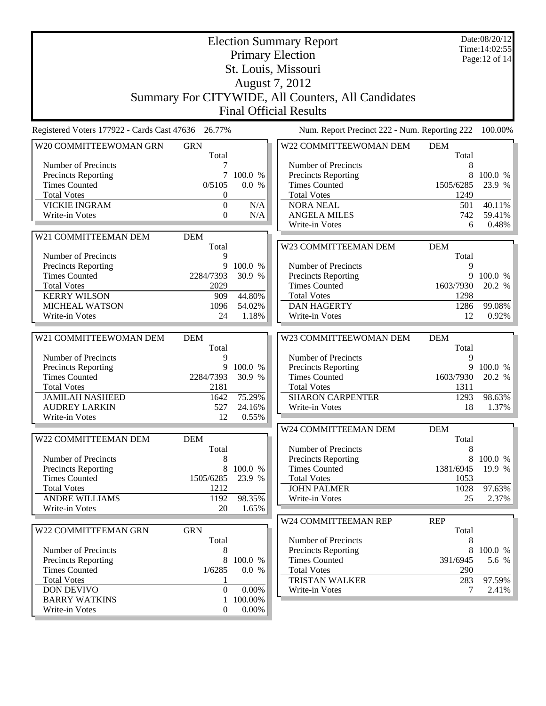|                                             |                     | Date:08/20/12<br>Time: 14:02:55<br>Page: 12 of 14 |                                                    |                     |         |
|---------------------------------------------|---------------------|---------------------------------------------------|----------------------------------------------------|---------------------|---------|
|                                             |                     |                                                   | <b>Primary Election</b><br>St. Louis, Missouri     |                     |         |
|                                             |                     |                                                   | August 7, 2012                                     |                     |         |
|                                             |                     |                                                   | Summary For CITYWIDE, All Counters, All Candidates |                     |         |
|                                             |                     |                                                   | <b>Final Official Results</b>                      |                     |         |
| Registered Voters 177922 - Cards Cast 47636 | 26.77%              |                                                   | Num. Report Precinct 222 - Num. Reporting 222      |                     | 100.00% |
| W20 COMMITTEEWOMAN GRN                      | <b>GRN</b>          |                                                   | W22 COMMITTEEWOMAN DEM                             | <b>DEM</b>          |         |
| Number of Precincts                         | Total               |                                                   | Number of Precincts                                | Total<br>8          |         |
| Precincts Reporting                         | $\tau$              | 100.0 %                                           | Precincts Reporting                                | 8                   | 100.0 % |
| <b>Times Counted</b>                        | 0/5105              | 0.0 %                                             | <b>Times Counted</b>                               | 1505/6285           | 23.9 %  |
| <b>Total Votes</b>                          | $\boldsymbol{0}$    |                                                   | <b>Total Votes</b>                                 | 1249                |         |
| <b>VICKIE INGRAM</b>                        | $\theta$            | N/A                                               | <b>NORA NEAL</b>                                   | 501                 | 40.11%  |
| Write-in Votes                              | $\boldsymbol{0}$    | N/A                                               | <b>ANGELA MILES</b>                                | 742                 | 59.41%  |
|                                             |                     |                                                   | Write-in Votes                                     | 6                   | 0.48%   |
| W21 COMMITTEEMAN DEM                        | <b>DEM</b>          |                                                   |                                                    |                     |         |
| Number of Precincts                         | Total<br>9          |                                                   | W23 COMMITTEEMAN DEM                               | <b>DEM</b><br>Total |         |
| Precincts Reporting                         | 9                   | 100.0 %                                           | Number of Precincts                                | 9                   |         |
| <b>Times Counted</b>                        | 2284/7393           | 30.9 %                                            | Precincts Reporting                                | 9                   | 100.0 % |
| <b>Total Votes</b>                          | 2029                |                                                   | <b>Times Counted</b>                               | 1603/7930           | 20.2 %  |
| <b>KERRY WILSON</b>                         | 909                 | 44.80%                                            | <b>Total Votes</b>                                 | 1298                |         |
| <b>MICHEAL WATSON</b>                       | 1096                | 54.02%                                            | <b>DAN HAGERTY</b>                                 | 1286                | 99.08%  |
| Write-in Votes                              | 24                  | 1.18%                                             | Write-in Votes                                     | 12                  | 0.92%   |
| W21 COMMITTEEWOMAN DEM                      | <b>DEM</b>          |                                                   | W23 COMMITTEEWOMAN DEM                             | <b>DEM</b>          |         |
|                                             | Total               |                                                   |                                                    | Total               |         |
|                                             |                     |                                                   |                                                    |                     |         |
| Number of Precincts                         | 9                   |                                                   | Number of Precincts                                | 9                   |         |
| Precincts Reporting                         | 9                   | 100.0 %                                           | Precincts Reporting                                | 9                   | 100.0 % |
| <b>Times Counted</b>                        | 2284/7393           | 30.9 %                                            | <b>Times Counted</b>                               | 1603/7930           | 20.2 %  |
| <b>Total Votes</b>                          | 2181                |                                                   | <b>Total Votes</b>                                 | 1311                |         |
| <b>JAMILAH NASHEED</b>                      | 1642                | 75.29%                                            | <b>SHARON CARPENTER</b>                            | 1293                | 98.63%  |
| <b>AUDREY LARKIN</b>                        | 527                 | 24.16%                                            | Write-in Votes                                     | 18                  | 1.37%   |
| Write-in Votes                              | 12                  | 0.55%                                             |                                                    |                     |         |
|                                             |                     |                                                   | W24 COMMITTEEMAN DEM                               | <b>DEM</b>          |         |
| W22 COMMITTEEMAN DEM                        | <b>DEM</b><br>Total |                                                   | Number of Precincts                                | Total<br>8          |         |
| Number of Precincts                         | 8                   |                                                   | <b>Precincts Reporting</b>                         | 8                   | 100.0 % |
| Precincts Reporting                         | 8                   | 100.0 %                                           | <b>Times Counted</b>                               | 1381/6945           | 19.9 %  |
| <b>Times Counted</b>                        | 1505/6285           | 23.9 %                                            | <b>Total Votes</b>                                 | 1053                |         |
| <b>Total Votes</b>                          | 1212                |                                                   | <b>JOHN PALMER</b>                                 | 1028                | 97.63%  |
| <b>ANDRE WILLIAMS</b>                       | 1192                | 98.35%                                            | Write-in Votes                                     | 25                  | 2.37%   |
| Write-in Votes                              | 20                  | 1.65%                                             |                                                    |                     |         |
|                                             |                     |                                                   | W24 COMMITTEEMAN REP                               | <b>REP</b>          |         |
| W22 COMMITTEEMAN GRN                        | <b>GRN</b>          |                                                   |                                                    | Total               |         |
|                                             | Total               |                                                   | Number of Precincts                                | 8<br>8              |         |
| Number of Precincts                         | 8<br>8              | 100.0 %                                           | Precincts Reporting<br><b>Times Counted</b>        | 391/6945            | 100.0 % |
| Precincts Reporting<br><b>Times Counted</b> | 1/6285              | 0.0 %                                             | <b>Total Votes</b>                                 | 290                 | 5.6 %   |
| <b>Total Votes</b>                          | 1                   |                                                   | TRISTAN WALKER                                     | 283                 | 97.59%  |
| <b>DON DEVIVO</b>                           | $\boldsymbol{0}$    | 0.00%                                             | Write-in Votes                                     | 7                   | 2.41%   |
| <b>BARRY WATKINS</b><br>Write-in Votes      | 1<br>$\mathbf{0}$   | 100.00%<br>$0.00\%$                               |                                                    |                     |         |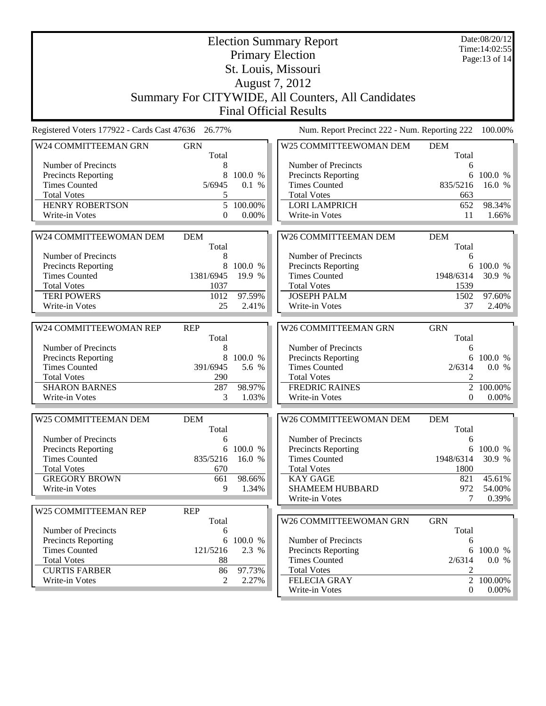| <b>Election Summary Report</b><br><b>Primary Election</b>                                                                      | Date:08/20/12<br>Time: 14:02:55<br>Page:13 of 14 |  |  |  |  |  |
|--------------------------------------------------------------------------------------------------------------------------------|--------------------------------------------------|--|--|--|--|--|
| St. Louis, Missouri                                                                                                            |                                                  |  |  |  |  |  |
| August 7, 2012                                                                                                                 |                                                  |  |  |  |  |  |
| Summary For CITYWIDE, All Counters, All Candidates                                                                             |                                                  |  |  |  |  |  |
| <b>Final Official Results</b>                                                                                                  |                                                  |  |  |  |  |  |
| Registered Voters 177922 - Cards Cast 47636 26.77%<br>Num. Report Precinct 222 - Num. Reporting 222                            | 100.00%                                          |  |  |  |  |  |
| W25 COMMITTEEWOMAN DEM<br>W24 COMMITTEEMAN GRN<br><b>GRN</b><br><b>DEM</b>                                                     |                                                  |  |  |  |  |  |
| Total<br>Total                                                                                                                 |                                                  |  |  |  |  |  |
| Number of Precincts<br>Number of Precincts<br>8<br>Precincts Reporting<br>8<br>100.0 %<br>Precincts Reporting                  | 6<br>6<br>100.0 %                                |  |  |  |  |  |
| <b>Times Counted</b><br>0.1 %<br><b>Times Counted</b><br>835/5216<br>5/6945                                                    | 16.0 %                                           |  |  |  |  |  |
| <b>Total Votes</b><br><b>Total Votes</b><br>5                                                                                  | 663                                              |  |  |  |  |  |
| <b>HENRY ROBERTSON</b><br>5<br>100.00%<br><b>LORI LAMPRICH</b>                                                                 | 98.34%<br>652                                    |  |  |  |  |  |
| 0.00%<br>Write-in Votes<br>$\overline{0}$<br>Write-in Votes                                                                    | 11<br>1.66%                                      |  |  |  |  |  |
|                                                                                                                                |                                                  |  |  |  |  |  |
| W26 COMMITTEEMAN DEM<br>W24 COMMITTEEWOMAN DEM<br><b>DEM</b><br><b>DEM</b>                                                     |                                                  |  |  |  |  |  |
| Total<br>Total<br>Number of Precincts<br>Number of Precincts<br>8                                                              |                                                  |  |  |  |  |  |
| Precincts Reporting<br>8<br>100.0 %<br><b>Precincts Reporting</b>                                                              | 6<br>6<br>100.0 %                                |  |  |  |  |  |
| <b>Times Counted</b><br>1381/6945<br>19.9 %<br><b>Times Counted</b><br>1948/6314                                               | 30.9 %                                           |  |  |  |  |  |
| <b>Total Votes</b><br>1037<br><b>Total Votes</b><br>1539                                                                       |                                                  |  |  |  |  |  |
| 97.59%<br><b>TERI POWERS</b><br><b>JOSEPH PALM</b><br>1012<br>1502                                                             | 97.60%                                           |  |  |  |  |  |
| Write-in Votes<br>25<br>Write-in Votes<br>2.41%                                                                                | 37<br>$2.40\%$                                   |  |  |  |  |  |
|                                                                                                                                |                                                  |  |  |  |  |  |
| W26 COMMITTEEMAN GRN<br>W24 COMMITTEEWOMAN REP<br><b>REP</b><br><b>GRN</b><br>Total<br>Total                                   |                                                  |  |  |  |  |  |
| Number of Precincts<br>Number of Precincts<br>8                                                                                | 6                                                |  |  |  |  |  |
| Precincts Reporting<br>8<br>100.0 %<br>Precincts Reporting                                                                     | 6<br>100.0 %                                     |  |  |  |  |  |
| <b>Times Counted</b><br>391/6945<br>5.6 %<br><b>Times Counted</b><br>2/6314                                                    | 0.0 %                                            |  |  |  |  |  |
| <b>Total Votes</b><br>290<br><b>Total Votes</b>                                                                                | $\overline{2}$                                   |  |  |  |  |  |
| <b>SHARON BARNES</b><br><b>FREDRIC RAINES</b><br>287<br>98.97%                                                                 | 2<br>100.00%                                     |  |  |  |  |  |
| Write-in Votes<br>3<br>1.03%<br>Write-in Votes                                                                                 |                                                  |  |  |  |  |  |
|                                                                                                                                | $\boldsymbol{0}$                                 |  |  |  |  |  |
|                                                                                                                                |                                                  |  |  |  |  |  |
| W25 COMMITTEEMAN DEM<br>W26 COMMITTEEWOMAN DEM<br><b>DEM</b><br><b>DEM</b>                                                     |                                                  |  |  |  |  |  |
| Total<br>Total                                                                                                                 | $0.00\%$                                         |  |  |  |  |  |
| Number of Precincts<br>Number of Precincts<br>6<br><b>Precincts Reporting</b><br>6 100.0 %                                     | 6<br>6 100.0 %                                   |  |  |  |  |  |
| <b>Precincts Reporting</b><br><b>Times Counted</b><br>835/5216<br>16.0 %<br><b>Times Counted</b><br>1948/6314                  |                                                  |  |  |  |  |  |
| <b>Total Votes</b><br><b>Total Votes</b><br>1800<br>670                                                                        |                                                  |  |  |  |  |  |
| <b>GREGORY BROWN</b><br>98.66%<br><b>KAY GAGE</b><br>661                                                                       | 30.9 %<br>45.61%<br>821                          |  |  |  |  |  |
| 9<br>1.34%<br><b>SHAMEEM HUBBARD</b><br>Write-in Votes                                                                         | 972<br>54.00%                                    |  |  |  |  |  |
| Write-in Votes                                                                                                                 | 0.39%<br>7                                       |  |  |  |  |  |
| W25 COMMITTEEMAN REP<br><b>REP</b>                                                                                             |                                                  |  |  |  |  |  |
| <b>GRN</b><br>Total<br>W26 COMMITTEEWOMAN GRN<br>Number of Precincts<br>Total<br>6                                             |                                                  |  |  |  |  |  |
| Number of Precincts<br><b>Precincts Reporting</b><br>100.0 %<br>6                                                              | 6                                                |  |  |  |  |  |
| <b>Times Counted</b><br>121/5216<br>Precincts Reporting<br>2.3 %                                                               | 6<br>100.0 %                                     |  |  |  |  |  |
| <b>Total Votes</b><br><b>Times Counted</b><br>2/6314<br>88                                                                     | 0.0 %                                            |  |  |  |  |  |
| <b>CURTIS FARBER</b><br>97.73%<br><b>Total Votes</b><br>86<br><b>FELECIA GRAY</b><br>Write-in Votes<br>$\mathfrak{2}$<br>2.27% | 2<br>2 100.00%                                   |  |  |  |  |  |